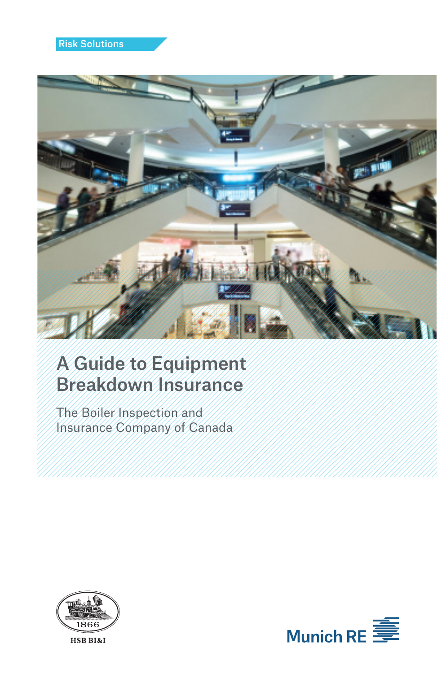

# A Guide to Equipment Breakdown Insurance

The Boiler Inspection and Insurance Company of Canada



HSB BI&I

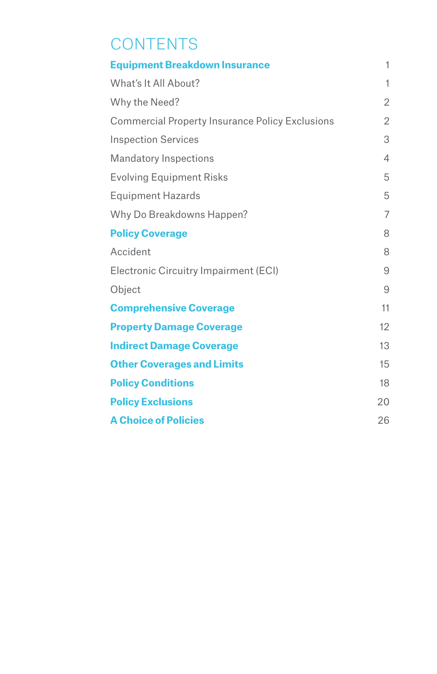# **CONTENTS**

| <b>Equipment Breakdown Insurance</b>                   | 1              |
|--------------------------------------------------------|----------------|
| What's It All About?                                   | 1              |
| Why the Need?                                          | $\overline{2}$ |
| <b>Commercial Property Insurance Policy Exclusions</b> | 2              |
| <b>Inspection Services</b>                             | 3              |
| <b>Mandatory Inspections</b>                           | 4              |
| <b>Evolving Equipment Risks</b>                        | 5              |
| <b>Equipment Hazards</b>                               | 5              |
| Why Do Breakdowns Happen?                              | 7              |
| <b>Policy Coverage</b>                                 | 8              |
| Accident                                               | 8              |
| Electronic Circuitry Impairment (ECI)                  | 9              |
| Object                                                 | 9              |
| <b>Comprehensive Coverage</b>                          | 11             |
| <b>Property Damage Coverage</b>                        | 12             |
| <b>Indirect Damage Coverage</b>                        | 13             |
| <b>Other Coverages and Limits</b>                      | 15             |
| <b>Policy Conditions</b>                               | 18             |
| <b>Policy Exclusions</b>                               | 20             |
| <b>A Choice of Policies</b>                            | 26             |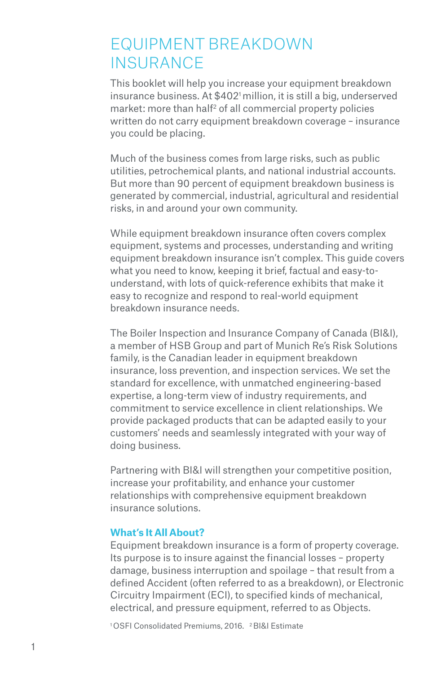### EQUIPMENT BREAKDOWN **INSURANCE**

This booklet will help you increase your equipment breakdown insurance business. At \$402<sup>1</sup> million, it is still a big, underserved market: more than half<sup>2</sup> of all commercial property policies written do not carry equipment breakdown coverage – insurance you could be placing.

Much of the business comes from large risks, such as public utilities, petrochemical plants, and national industrial accounts. But more than 90 percent of equipment breakdown business is generated by commercial, industrial, agricultural and residential risks, in and around your own community.

While equipment breakdown insurance often covers complex equipment, systems and processes, understanding and writing equipment breakdown insurance isn't complex. This guide covers what you need to know, keeping it brief, factual and easy-tounderstand, with lots of quick-reference exhibits that make it easy to recognize and respond to real-world equipment breakdown insurance needs.

The Boiler Inspection and Insurance Company of Canada (BI&I), a member of HSB Group and part of Munich Re's Risk Solutions family, is the Canadian leader in equipment breakdown insurance, loss prevention, and inspection services. We set the standard for excellence, with unmatched engineering-based expertise, a long-term view of industry requirements, and commitment to service excellence in client relationships. We provide packaged products that can be adapted easily to your customers' needs and seamlessly integrated with your way of doing business.

Partnering with BI&I will strengthen your competitive position, increase your profitability, and enhance your customer relationships with comprehensive equipment breakdown insurance solutions.

#### **What's It All About?**

Equipment breakdown insurance is a form of property coverage. Its purpose is to insure against the financial losses – property damage, business interruption and spoilage – that result from a defined Accident (often referred to as a breakdown), or Electronic Circuitry Impairment (ECI), to specified kinds of mechanical, electrical, and pressure equipment, referred to as Objects.

1 OSFI Consolidated Premiums, 2016. 2 BI&I Estimate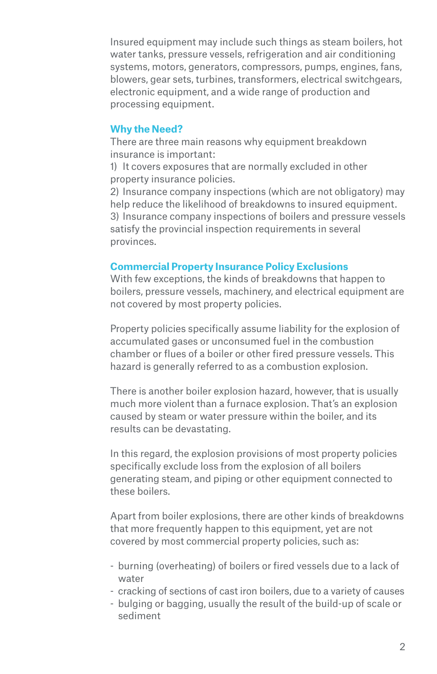Insured equipment may include such things as steam boilers, hot water tanks, pressure vessels, refrigeration and air conditioning systems, motors, generators, compressors, pumps, engines, fans, blowers, gear sets, turbines, transformers, electrical switchgears, electronic equipment, and a wide range of production and processing equipment.

#### **Why the Need?**

There are three main reasons why equipment breakdown insurance is important:

1) It covers exposures that are normally excluded in other property insurance policies.

2) Insurance company inspections (which are not obligatory) may help reduce the likelihood of breakdowns to insured equipment. 3) Insurance company inspections of boilers and pressure vessels satisfy the provincial inspection requirements in several provinces.

#### **Commercial Property Insurance Policy Exclusions**

With few exceptions, the kinds of breakdowns that happen to boilers, pressure vessels, machinery, and electrical equipment are not covered by most property policies.

Property policies specifically assume liability for the explosion of accumulated gases or unconsumed fuel in the combustion chamber or flues of a boiler or other fired pressure vessels. This hazard is generally referred to as a combustion explosion.

There is another boiler explosion hazard, however, that is usually much more violent than a furnace explosion. That's an explosion caused by steam or water pressure within the boiler, and its results can be devastating.

In this regard, the explosion provisions of most property policies specifically exclude loss from the explosion of all boilers generating steam, and piping or other equipment connected to these boilers.

Apart from boiler explosions, there are other kinds of breakdowns that more frequently happen to this equipment, yet are not covered by most commercial property policies, such as:

- burning (overheating) of boilers or fired vessels due to a lack of water
- cracking of sections of cast iron boilers, due to a variety of causes
- bulging or bagging, usually the result of the build-up of scale or sediment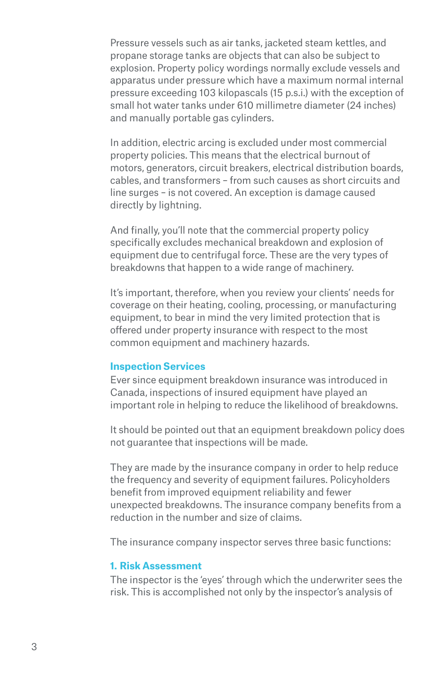Pressure vessels such as air tanks, jacketed steam kettles, and propane storage tanks are objects that can also be subject to explosion. Property policy wordings normally exclude vessels and apparatus under pressure which have a maximum normal internal pressure exceeding 103 kilopascals (15 p.s.i.) with the exception of small hot water tanks under 610 millimetre diameter (24 inches) and manually portable gas cylinders.

In addition, electric arcing is excluded under most commercial property policies. This means that the electrical burnout of motors, generators, circuit breakers, electrical distribution boards, cables, and transformers – from such causes as short circuits and line surges – is not covered. An exception is damage caused directly by lightning.

And finally, you'll note that the commercial property policy specifically excludes mechanical breakdown and explosion of equipment due to centrifugal force. These are the very types of breakdowns that happen to a wide range of machinery.

It's important, therefore, when you review your clients' needs for coverage on their heating, cooling, processing, or manufacturing equipment, to bear in mind the very limited protection that is offered under property insurance with respect to the most common equipment and machinery hazards.

#### **Inspection Services**

Ever since equipment breakdown insurance was introduced in Canada, inspections of insured equipment have played an important role in helping to reduce the likelihood of breakdowns.

It should be pointed out that an equipment breakdown policy does not guarantee that inspections will be made.

They are made by the insurance company in order to help reduce the frequency and severity of equipment failures. Policyholders benefit from improved equipment reliability and fewer unexpected breakdowns. The insurance company benefits from a reduction in the number and size of claims.

The insurance company inspector serves three basic functions:

#### **1. Risk Assessment**

The inspector is the 'eyes' through which the underwriter sees the risk. This is accomplished not only by the inspector's analysis of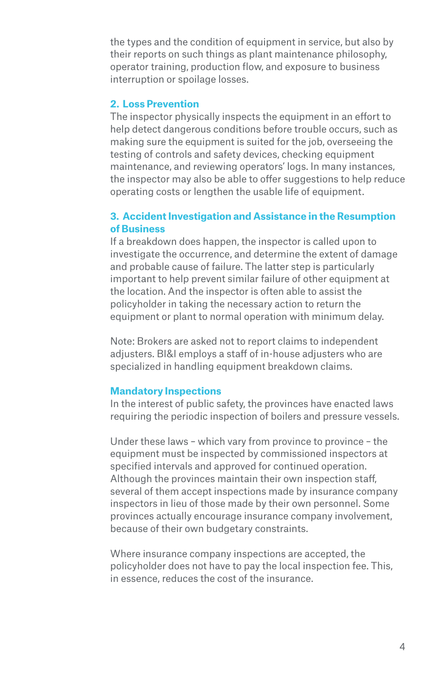the types and the condition of equipment in service, but also by their reports on such things as plant maintenance philosophy, operator training, production flow, and exposure to business interruption or spoilage losses.

#### **2. Loss Prevention**

The inspector physically inspects the equipment in an effort to help detect dangerous conditions before trouble occurs, such as making sure the equipment is suited for the job, overseeing the testing of controls and safety devices, checking equipment maintenance, and reviewing operators' logs. In many instances, the inspector may also be able to offer suggestions to help reduce operating costs or lengthen the usable life of equipment.

#### **3. Accident Investigation and Assistance in the Resumption of Business**

If a breakdown does happen, the inspector is called upon to investigate the occurrence, and determine the extent of damage and probable cause of failure. The latter step is particularly important to help prevent similar failure of other equipment at the location. And the inspector is often able to assist the policyholder in taking the necessary action to return the equipment or plant to normal operation with minimum delay.

Note: Brokers are asked not to report claims to independent adjusters. BI&I employs a staff of in-house adjusters who are specialized in handling equipment breakdown claims.

#### **Mandatory Inspections**

In the interest of public safety, the provinces have enacted laws requiring the periodic inspection of boilers and pressure vessels.

Under these laws – which vary from province to province – the equipment must be inspected by commissioned inspectors at specified intervals and approved for continued operation. Although the provinces maintain their own inspection staff, several of them accept inspections made by insurance company inspectors in lieu of those made by their own personnel. Some provinces actually encourage insurance company involvement, because of their own budgetary constraints.

Where insurance company inspections are accepted, the policyholder does not have to pay the local inspection fee. This, in essence, reduces the cost of the insurance.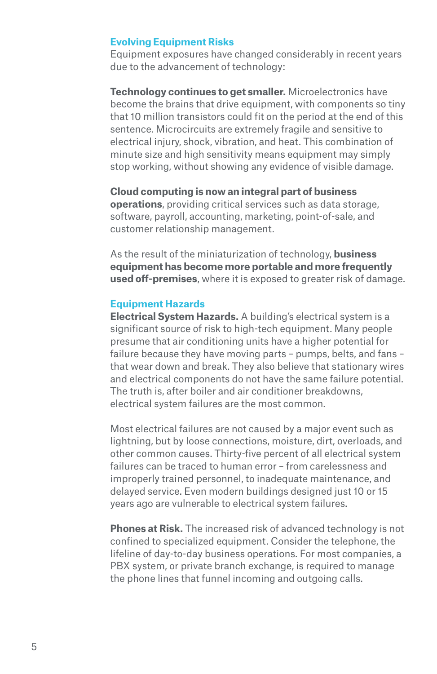#### **Evolving Equipment Risks**

Equipment exposures have changed considerably in recent years due to the advancement of technology:

**Technology continues to get smaller.** Microelectronics have become the brains that drive equipment, with components so tiny that 10 million transistors could fit on the period at the end of this sentence. Microcircuits are extremely fragile and sensitive to electrical injury, shock, vibration, and heat. This combination of minute size and high sensitivity means equipment may simply stop working, without showing any evidence of visible damage.

**Cloud computing is now an integral part of business operations**, providing critical services such as data storage, software, payroll, accounting, marketing, point-of-sale, and customer relationship management.

As the result of the miniaturization of technology, **business equipment has become more portable and more frequently used off-premises**, where it is exposed to greater risk of damage.

#### **Equipment Hazards**

**Electrical System Hazards.** A building's electrical system is a significant source of risk to high-tech equipment. Many people presume that air conditioning units have a higher potential for failure because they have moving parts – pumps, belts, and fans – that wear down and break. They also believe that stationary wires and electrical components do not have the same failure potential. The truth is, after boiler and air conditioner breakdowns, electrical system failures are the most common.

Most electrical failures are not caused by a major event such as lightning, but by loose connections, moisture, dirt, overloads, and other common causes. Thirty-five percent of all electrical system failures can be traced to human error – from carelessness and improperly trained personnel, to inadequate maintenance, and delayed service. Even modern buildings designed just 10 or 15 years ago are vulnerable to electrical system failures.

**Phones at Risk.** The increased risk of advanced technology is not confined to specialized equipment. Consider the telephone, the lifeline of day-to-day business operations. For most companies, a PBX system, or private branch exchange, is required to manage the phone lines that funnel incoming and outgoing calls.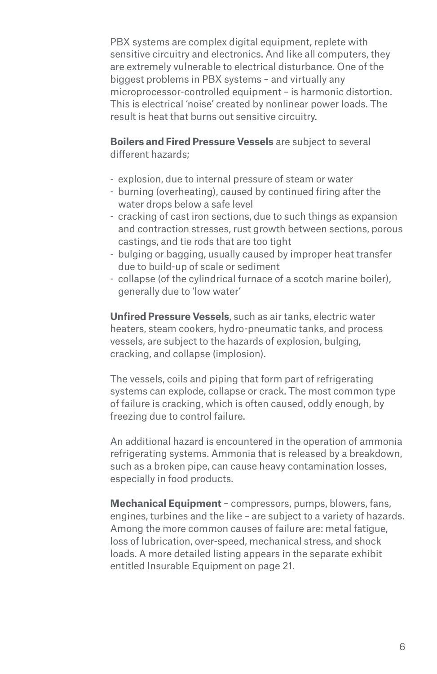PBX systems are complex digital equipment, replete with sensitive circuitry and electronics. And like all computers, they are extremely vulnerable to electrical disturbance. One of the biggest problems in PBX systems – and virtually any microprocessor-controlled equipment – is harmonic distortion. This is electrical 'noise' created by nonlinear power loads. The result is heat that burns out sensitive circuitry.

**Boilers and Fired Pressure Vessels** are subject to several different hazards;

- explosion, due to internal pressure of steam or water
- burning (overheating), caused by continued firing after the water drops below a safe level
- cracking of cast iron sections, due to such things as expansion and contraction stresses, rust growth between sections, porous castings, and tie rods that are too tight
- bulging or bagging, usually caused by improper heat transfer due to build-up of scale or sediment
- collapse (of the cylindrical furnace of a scotch marine boiler), generally due to 'low water'

**Unfired Pressure Vessels**, such as air tanks, electric water heaters, steam cookers, hydro-pneumatic tanks, and process vessels, are subject to the hazards of explosion, bulging, cracking, and collapse (implosion).

The vessels, coils and piping that form part of refrigerating systems can explode, collapse or crack. The most common type of failure is cracking, which is often caused, oddly enough, by freezing due to control failure.

An additional hazard is encountered in the operation of ammonia refrigerating systems. Ammonia that is released by a breakdown, such as a broken pipe, can cause heavy contamination losses, especially in food products.

**Mechanical Equipment** – compressors, pumps, blowers, fans, engines, turbines and the like – are subject to a variety of hazards. Among the more common causes of failure are: metal fatigue, loss of lubrication, over-speed, mechanical stress, and shock loads. A more detailed listing appears in the separate exhibit entitled Insurable Equipment on page 21.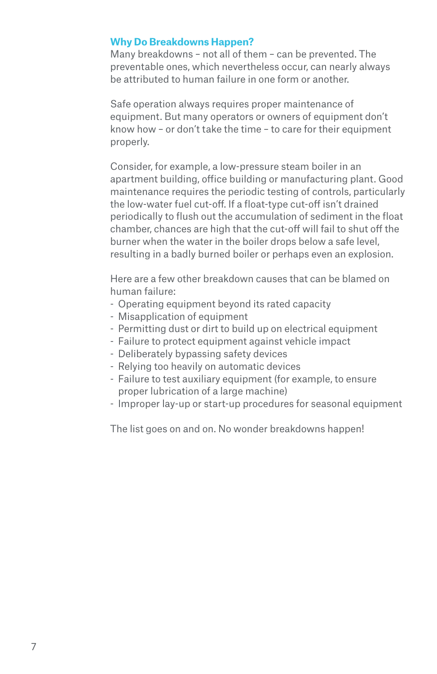#### **Why Do Breakdowns Happen?**

Many breakdowns – not all of them – can be prevented. The preventable ones, which nevertheless occur, can nearly always be attributed to human failure in one form or another.

Safe operation always requires proper maintenance of equipment. But many operators or owners of equipment don't know how – or don't take the time – to care for their equipment properly.

Consider, for example, a low-pressure steam boiler in an apartment building, office building or manufacturing plant. Good maintenance requires the periodic testing of controls, particularly the low-water fuel cut-off. If a float-type cut-off isn't drained periodically to flush out the accumulation of sediment in the float chamber, chances are high that the cut-off will fail to shut off the burner when the water in the boiler drops below a safe level, resulting in a badly burned boiler or perhaps even an explosion.

Here are a few other breakdown causes that can be blamed on human failure:

- Operating equipment beyond its rated capacity
- Misapplication of equipment
- Permitting dust or dirt to build up on electrical equipment
- Failure to protect equipment against vehicle impact
- Deliberately bypassing safety devices
- Relying too heavily on automatic devices
- Failure to test auxiliary equipment (for example, to ensure proper lubrication of a large machine)
- Improper lay-up or start-up procedures for seasonal equipment

The list goes on and on. No wonder breakdowns happen!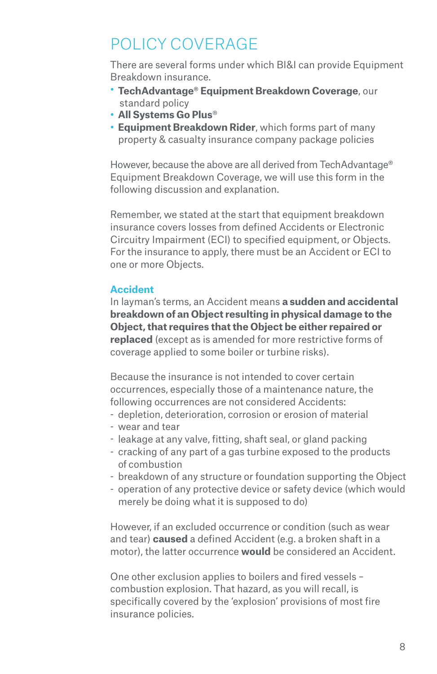## POLICY COVERAGE

There are several forms under which BI&I can provide Equipment Breakdown insurance.

- **TechAdvantage® Equipment Breakdown Coverage**, our standard policy
- **All Systems Go Plus**®
- **Equipment Breakdown Rider**, which forms part of many property & casualty insurance company package policies

However, because the above are all derived from TechAdvantage® Equipment Breakdown Coverage, we will use this form in the following discussion and explanation.

Remember, we stated at the start that equipment breakdown insurance covers losses from defined Accidents or Electronic Circuitry Impairment (ECI) to specified equipment, or Objects. For the insurance to apply, there must be an Accident or ECI to one or more Objects.

#### **Accident**

In layman's terms, an Accident means **a sudden and accidental breakdown of an Object resulting in physical damage to the Object, that requires that the Object be either repaired or replaced** (except as is amended for more restrictive forms of coverage applied to some boiler or turbine risks).

Because the insurance is not intended to cover certain occurrences, especially those of a maintenance nature, the following occurrences are not considered Accidents:

- depletion, deterioration, corrosion or erosion of material
- wear and tear
- leakage at any valve, fitting, shaft seal, or gland packing
- cracking of any part of a gas turbine exposed to the products of combustion
- breakdown of any structure or foundation supporting the Object
- operation of any protective device or safety device (which would merely be doing what it is supposed to do)

However, if an excluded occurrence or condition (such as wear and tear) **caused** a defined Accident (e.g. a broken shaft in a motor), the latter occurrence **would** be considered an Accident.

One other exclusion applies to boilers and fired vessels – combustion explosion. That hazard, as you will recall, is specifically covered by the 'explosion' provisions of most fire insurance policies.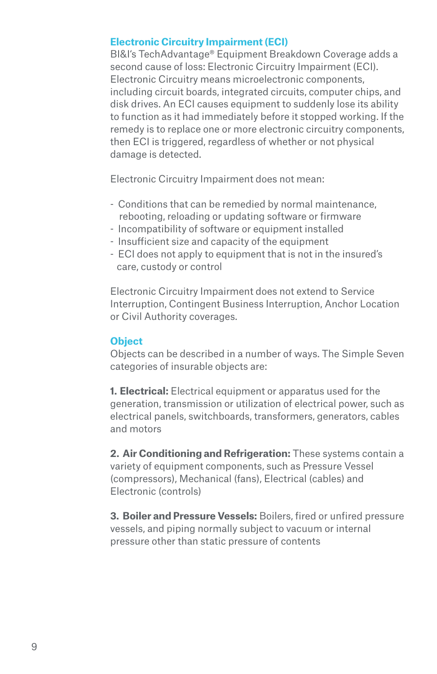#### **Electronic Circuitry Impairment (ECI)**

BI&I's TechAdvantage® Equipment Breakdown Coverage adds a second cause of loss: Electronic Circuitry Impairment (ECI). Electronic Circuitry means microelectronic components, including circuit boards, integrated circuits, computer chips, and disk drives. An ECI causes equipment to suddenly lose its ability to function as it had immediately before it stopped working. If the remedy is to replace one or more electronic circuitry components, then ECI is triggered, regardless of whether or not physical damage is detected.

Electronic Circuitry Impairment does not mean:

- Conditions that can be remedied by normal maintenance, rebooting, reloading or updating software or firmware
- Incompatibility of software or equipment installed
- Insufficient size and capacity of the equipment
- ECI does not apply to equipment that is not in the insured's care, custody or control

Electronic Circuitry Impairment does not extend to Service Interruption, Contingent Business Interruption, Anchor Location or Civil Authority coverages.

#### **Object**

Objects can be described in a number of ways. The Simple Seven categories of insurable objects are:

**1. Electrical:** Electrical equipment or apparatus used for the generation, transmission or utilization of electrical power, such as electrical panels, switchboards, transformers, generators, cables and motors

**2. Air Conditioning and Refrigeration:** These systems contain a variety of equipment components, such as Pressure Vessel (compressors), Mechanical (fans), Electrical (cables) and Electronic (controls)

**3. Boiler and Pressure Vessels:** Boilers, fired or unfired pressure vessels, and piping normally subject to vacuum or internal pressure other than static pressure of contents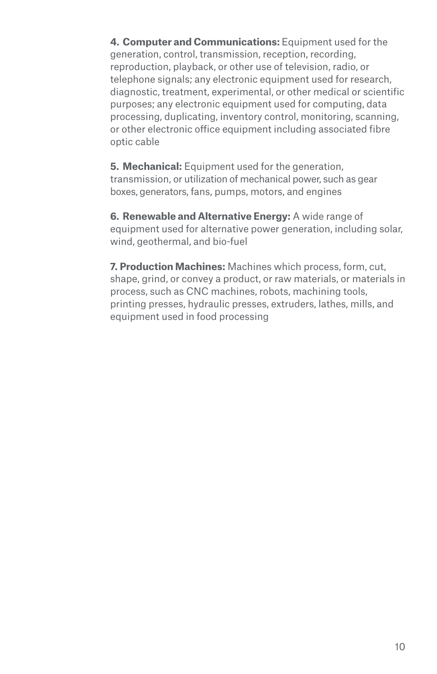**4. Computer and Communications:** Equipment used for the generation, control, transmission, reception, recording, reproduction, playback, or other use of television, radio, or telephone signals; any electronic equipment used for research, diagnostic, treatment, experimental, or other medical or scientific purposes; any electronic equipment used for computing, data processing, duplicating, inventory control, monitoring, scanning, or other electronic office equipment including associated fibre optic cable

**5. Mechanical:** Equipment used for the generation, transmission, or utilization of mechanical power, such as gear boxes, generators, fans, pumps, motors, and engines

**6. Renewable and Alternative Energy:** A wide range of equipment used for alternative power generation, including solar, wind, geothermal, and bio-fuel

**7. Production Machines:** Machines which process, form, cut, shape, grind, or convey a product, or raw materials, or materials in process, such as CNC machines, robots, machining tools, printing presses, hydraulic presses, extruders, lathes, mills, and equipment used in food processing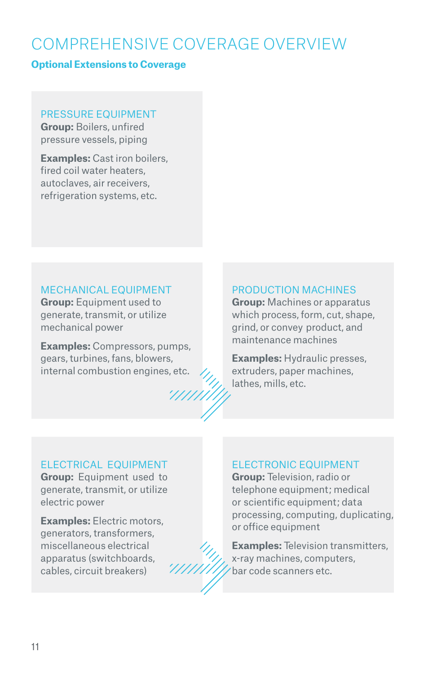## COMPREHENSIVE COVERAGE OVERVIEW

#### **Optional Extensions to Coverage**

#### PRESSURE EQUIPMENT

**Group:** Boilers, unfired pressure vessels, piping

**Examples:** Cast iron boilers, fired coil water heaters, autoclaves, air receivers, refrigeration systems, etc.

#### MECHANICAL EQUIPMENT

**Group:** Equipment used to generate, transmit, or utilize mechanical power

**Examples:** Compressors, pumps, gears, turbines, fans, blowers, internal combustion engines, etc.



**Group:** Machines or apparatus which process, form, cut, shape, grind, or convey product, and maintenance machines

**Examples:** Hydraulic presses, extruders, paper machines, lathes, mills, etc.

#### ELECTRICAL EQUIPMENT

**Group:** Equipment used to generate, transmit, or utilize electric power

**Examples:** Electric motors, generators, transformers, miscellaneous electrical apparatus (switchboards, cables, circuit breakers)

#### ELECTRONIC EQUIPMENT

**Group:** Television, radio or telephone equipment; medical or scientific equipment; data processing, computing, duplicating, or office equipment

**Examples:** Television transmitters, x-ray machines, computers, bar code scanners etc.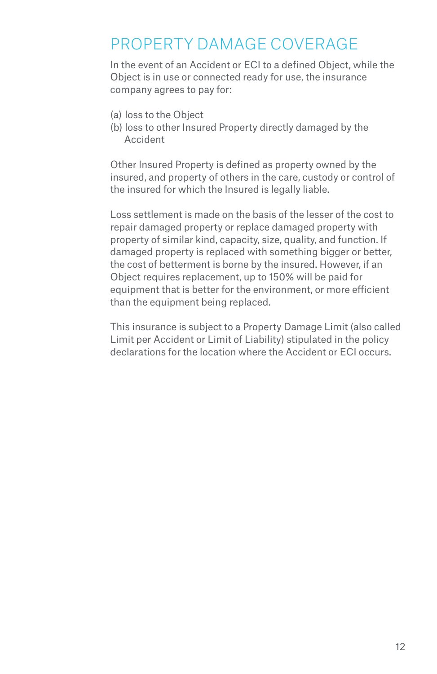### PROPERTY DAMAGE COVERAGE

In the event of an Accident or ECI to a defined Object, while the Object is in use or connected ready for use, the insurance company agrees to pay for:

- (a) loss to the Object
- (b) loss to other Insured Property directly damaged by the Accident

Other Insured Property is defined as property owned by the insured, and property of others in the care, custody or control of the insured for which the Insured is legally liable.

Loss settlement is made on the basis of the lesser of the cost to repair damaged property or replace damaged property with property of similar kind, capacity, size, quality, and function. If damaged property is replaced with something bigger or better, the cost of betterment is borne by the insured. However, if an Object requires replacement, up to 150% will be paid for equipment that is better for the environment, or more efficient than the equipment being replaced.

This insurance is subject to a Property Damage Limit (also called Limit per Accident or Limit of Liability) stipulated in the policy declarations for the location where the Accident or ECI occurs.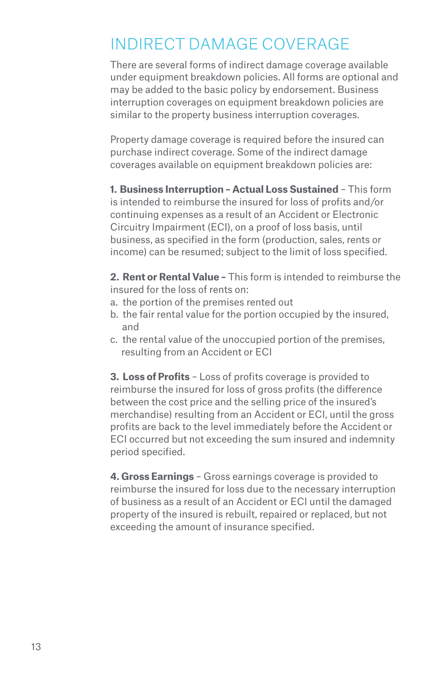## INDIRECT DAMAGE COVERAGE

There are several forms of indirect damage coverage available under equipment breakdown policies. All forms are optional and may be added to the basic policy by endorsement. Business interruption coverages on equipment breakdown policies are similar to the property business interruption coverages.

Property damage coverage is required before the insured can purchase indirect coverage. Some of the indirect damage coverages available on equipment breakdown policies are:

**1. Business Interruption – Actual Loss Sustained** – This form is intended to reimburse the insured for loss of profits and/or continuing expenses as a result of an Accident or Electronic Circuitry Impairment (ECI), on a proof of loss basis, until business, as specified in the form (production, sales, rents or income) can be resumed; subject to the limit of loss specified.

**2. Rent or Rental Value –** This form is intended to reimburse the insured for the loss of rents on:

- a. the portion of the premises rented out
- b. the fair rental value for the portion occupied by the insured, and
- c. the rental value of the unoccupied portion of the premises, resulting from an Accident or ECI

**3. Loss of Profits** – Loss of profits coverage is provided to reimburse the insured for loss of gross profits (the difference between the cost price and the selling price of the insured's merchandise) resulting from an Accident or ECI, until the gross profits are back to the level immediately before the Accident or ECI occurred but not exceeding the sum insured and indemnity period specified.

**4. Gross Earnings** – Gross earnings coverage is provided to reimburse the insured for loss due to the necessary interruption of business as a result of an Accident or ECI until the damaged property of the insured is rebuilt, repaired or replaced, but not exceeding the amount of insurance specified.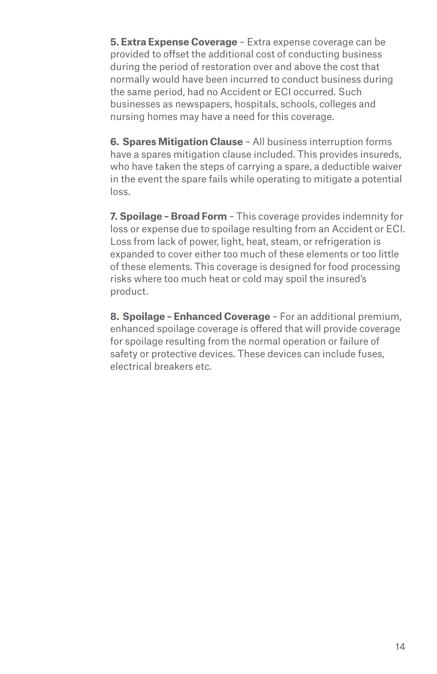**5. Extra Expense Coverage** – Extra expense coverage can be provided to offset the additional cost of conducting business during the period of restoration over and above the cost that normally would have been incurred to conduct business during the same period, had no Accident or ECI occurred. Such businesses as newspapers, hospitals, schools, colleges and nursing homes may have a need for this coverage.

**6. Spares Mitigation Clause** – All business interruption forms have a spares mitigation clause included. This provides insureds, who have taken the steps of carrying a spare, a deductible waiver in the event the spare fails while operating to mitigate a potential loss.

**7. Spoilage – Broad Form** – This coverage provides indemnity for loss or expense due to spoilage resulting from an Accident or ECI. Loss from lack of power, light, heat, steam, or refrigeration is expanded to cover either too much of these elements or too little of these elements. This coverage is designed for food processing risks where too much heat or cold may spoil the insured's product.

**8. Spoilage – Enhanced Coverage** – For an additional premium, enhanced spoilage coverage is offered that will provide coverage for spoilage resulting from the normal operation or failure of safety or protective devices. These devices can include fuses, electrical breakers etc.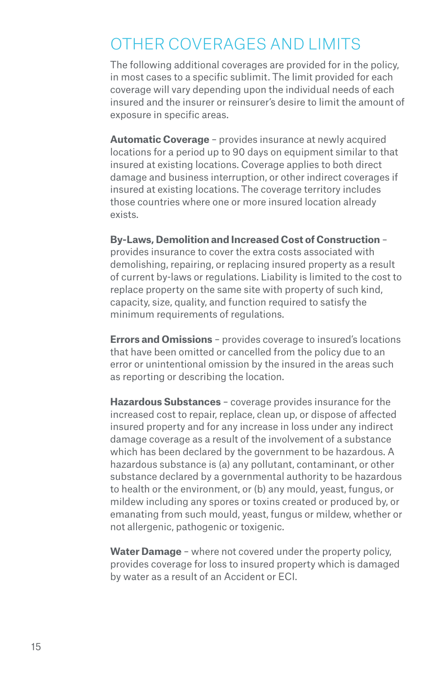### OTHER COVERAGES AND LIMITS

The following additional coverages are provided for in the policy, in most cases to a specific sublimit. The limit provided for each coverage will vary depending upon the individual needs of each insured and the insurer or reinsurer's desire to limit the amount of exposure in specific areas.

**Automatic Coverage** – provides insurance at newly acquired locations for a period up to 90 days on equipment similar to that insured at existing locations. Coverage applies to both direct damage and business interruption, or other indirect coverages if insured at existing locations. The coverage territory includes those countries where one or more insured location already exists.

**By-Laws, Demolition and Increased Cost of Construction** –

provides insurance to cover the extra costs associated with demolishing, repairing, or replacing insured property as a result of current by-laws or regulations. Liability is limited to the cost to replace property on the same site with property of such kind, capacity, size, quality, and function required to satisfy the minimum requirements of regulations.

**Errors and Omissions** – provides coverage to insured's locations that have been omitted or cancelled from the policy due to an error or unintentional omission by the insured in the areas such as reporting or describing the location.

**Hazardous Substances** – coverage provides insurance for the increased cost to repair, replace, clean up, or dispose of affected insured property and for any increase in loss under any indirect damage coverage as a result of the involvement of a substance which has been declared by the government to be hazardous. A hazardous substance is (a) any pollutant, contaminant, or other substance declared by a governmental authority to be hazardous to health or the environment, or (b) any mould, yeast, fungus, or mildew including any spores or toxins created or produced by, or emanating from such mould, yeast, fungus or mildew, whether or not allergenic, pathogenic or toxigenic.

**Water Damage** – where not covered under the property policy, provides coverage for loss to insured property which is damaged by water as a result of an Accident or ECI.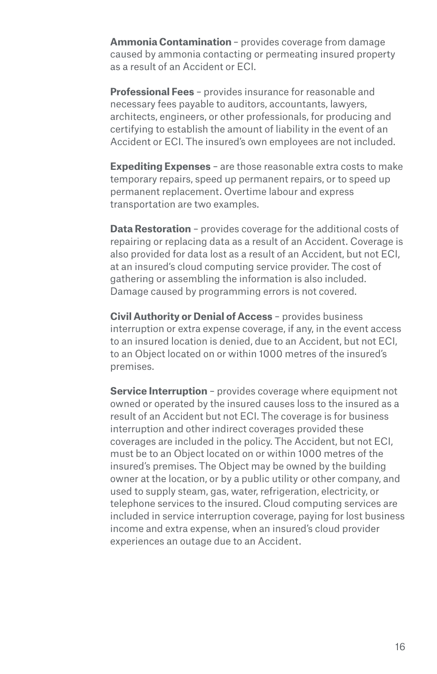**Ammonia Contamination** – provides coverage from damage caused by ammonia contacting or permeating insured property as a result of an Accident or ECI.

**Professional Fees** – provides insurance for reasonable and necessary fees payable to auditors, accountants, lawyers, architects, engineers, or other professionals, for producing and certifying to establish the amount of liability in the event of an Accident or ECI. The insured's own employees are not included.

**Expediting Expenses** – are those reasonable extra costs to make temporary repairs, speed up permanent repairs, or to speed up permanent replacement. Overtime labour and express transportation are two examples.

**Data Restoration** – provides coverage for the additional costs of repairing or replacing data as a result of an Accident. Coverage is also provided for data lost as a result of an Accident, but not ECI, at an insured's cloud computing service provider. The cost of gathering or assembling the information is also included. Damage caused by programming errors is not covered.

**Civil Authority or Denial of Access** – provides business interruption or extra expense coverage, if any, in the event access to an insured location is denied, due to an Accident, but not ECI, to an Object located on or within 1000 metres of the insured's premises.

**Service Interruption** - provides coverage where equipment not owned or operated by the insured causes loss to the insured as a result of an Accident but not ECI. The coverage is for business interruption and other indirect coverages provided these coverages are included in the policy. The Accident, but not ECI, must be to an Object located on or within 1000 metres of the insured's premises. The Object may be owned by the building owner at the location, or by a public utility or other company, and used to supply steam, gas, water, refrigeration, electricity, or telephone services to the insured. Cloud computing services are included in service interruption coverage, paying for lost business income and extra expense, when an insured's cloud provider experiences an outage due to an Accident.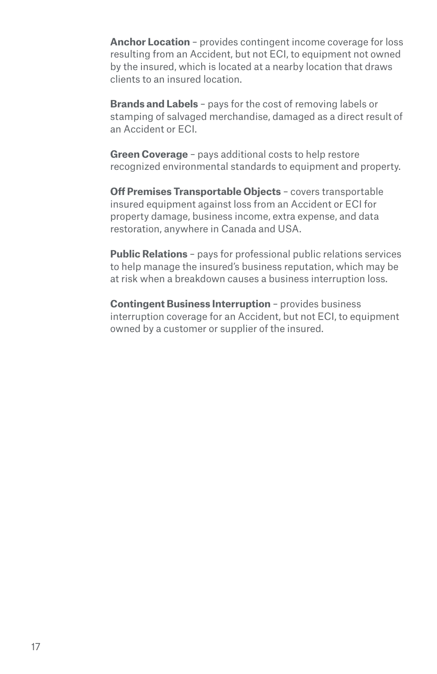**Anchor Location** – provides contingent income coverage for loss resulting from an Accident, but not ECI, to equipment not owned by the insured, which is located at a nearby location that draws clients to an insured location.

**Brands and Labels** – pays for the cost of removing labels or stamping of salvaged merchandise, damaged as a direct result of an Accident or ECI.

**Green Coverage** – pays additional costs to help restore recognized environmental standards to equipment and property.

**Off Premises Transportable Objects** – covers transportable insured equipment against loss from an Accident or ECI for property damage, business income, extra expense, and data restoration, anywhere in Canada and USA.

**Public Relations** – pays for professional public relations services to help manage the insured's business reputation, which may be at risk when a breakdown causes a business interruption loss.

**Contingent Business Interruption** – provides business interruption coverage for an Accident, but not ECI, to equipment owned by a customer or supplier of the insured.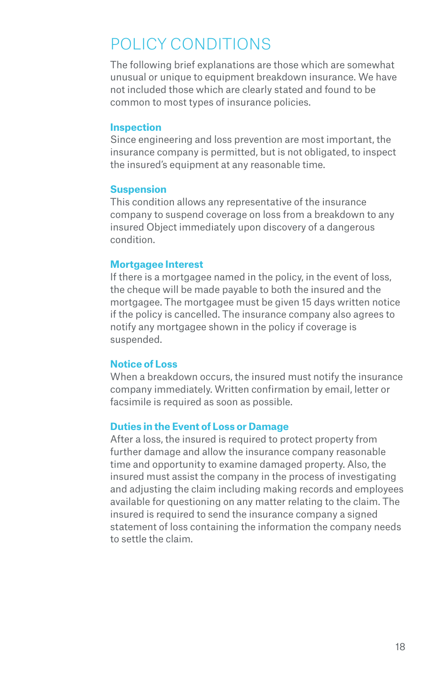## POLICY CONDITIONS

The following brief explanations are those which are somewhat unusual or unique to equipment breakdown insurance. We have not included those which are clearly stated and found to be common to most types of insurance policies.

#### **Inspection**

Since engineering and loss prevention are most important, the insurance company is permitted, but is not obligated, to inspect the insured's equipment at any reasonable time.

#### **Suspension**

This condition allows any representative of the insurance company to suspend coverage on loss from a breakdown to any insured Object immediately upon discovery of a dangerous condition.

#### **Mortgagee Interest**

If there is a mortgagee named in the policy, in the event of loss, the cheque will be made payable to both the insured and the mortgagee. The mortgagee must be given 15 days written notice if the policy is cancelled. The insurance company also agrees to notify any mortgagee shown in the policy if coverage is suspended.

#### **Notice of Loss**

When a breakdown occurs, the insured must notify the insurance company immediately. Written confirmation by email, letter or facsimile is required as soon as possible.

#### **Duties in the Event of Loss or Damage**

After a loss, the insured is required to protect property from further damage and allow the insurance company reasonable time and opportunity to examine damaged property. Also, the insured must assist the company in the process of investigating and adjusting the claim including making records and employees available for questioning on any matter relating to the claim. The insured is required to send the insurance company a signed statement of loss containing the information the company needs to settle the claim.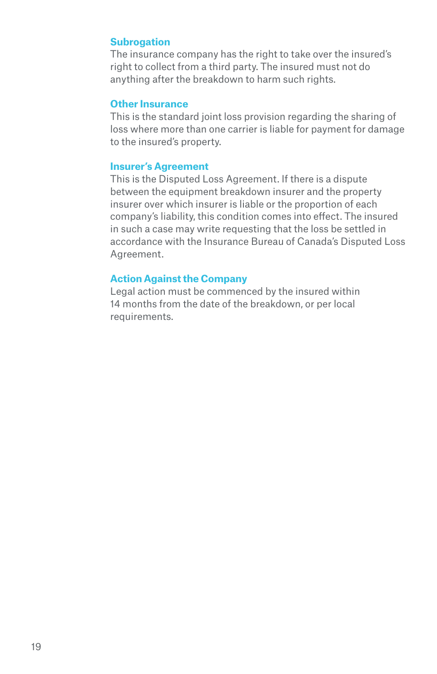#### **Subrogation**

The insurance company has the right to take over the insured's right to collect from a third party. The insured must not do anything after the breakdown to harm such rights.

#### **Other Insurance**

This is the standard joint loss provision regarding the sharing of loss where more than one carrier is liable for payment for damage to the insured's property.

#### **Insurer's Agreement**

This is the Disputed Loss Agreement. If there is a dispute between the equipment breakdown insurer and the property insurer over which insurer is liable or the proportion of each company's liability, this condition comes into effect. The insured in such a case may write requesting that the loss be settled in accordance with the Insurance Bureau of Canada's Disputed Loss Agreement.

#### **Action Against the Company**

Legal action must be commenced by the insured within 14 months from the date of the breakdown, or per local requirements.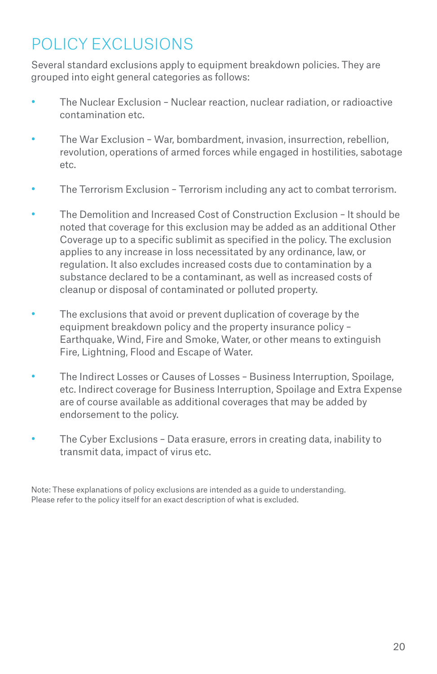## POLICY EXCLUSIONS

Several standard exclusions apply to equipment breakdown policies. They are grouped into eight general categories as follows:

- The Nuclear Exclusion Nuclear reaction, nuclear radiation, or radioactive contamination etc.
- The War Exclusion War, bombardment, invasion, insurrection, rebellion, revolution, operations of armed forces while engaged in hostilities, sabotage etc.
- The Terrorism Exclusion Terrorism including any act to combat terrorism.
- The Demolition and Increased Cost of Construction Exclusion It should be noted that coverage for this exclusion may be added as an additional Other Coverage up to a specific sublimit as specified in the policy. The exclusion applies to any increase in loss necessitated by any ordinance, law, or regulation. It also excludes increased costs due to contamination by a substance declared to be a contaminant, as well as increased costs of cleanup or disposal of contaminated or polluted property.
- The exclusions that avoid or prevent duplication of coverage by the equipment breakdown policy and the property insurance policy – Earthquake, Wind, Fire and Smoke, Water, or other means to extinguish Fire, Lightning, Flood and Escape of Water.
- The Indirect Losses or Causes of Losses Business Interruption, Spoilage, etc. Indirect coverage for Business Interruption, Spoilage and Extra Expense are of course available as additional coverages that may be added by endorsement to the policy.
- The Cyber Exclusions Data erasure, errors in creating data, inability to transmit data, impact of virus etc.

Note: These explanations of policy exclusions are intended as a guide to understanding. Please refer to the policy itself for an exact description of what is excluded.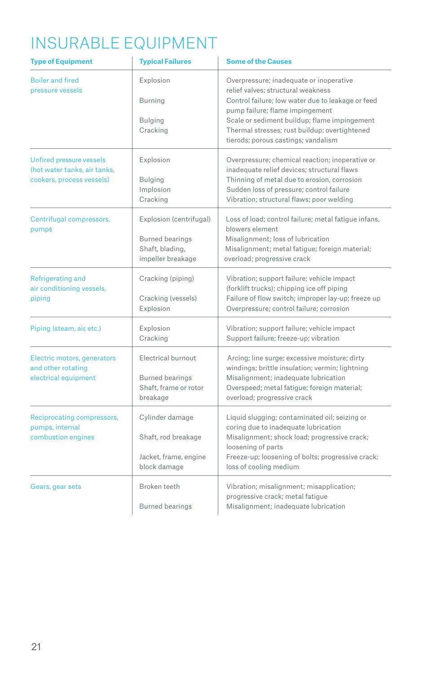## INSURABLE EQUIPMENT

| <b>Type of Equipment</b>                                                              | <b>Typical Failures</b>                                                                   | <b>Some of the Causes</b>                                                                                                                                                                                                                                                                                     |  |  |  |  |  |  |
|---------------------------------------------------------------------------------------|-------------------------------------------------------------------------------------------|---------------------------------------------------------------------------------------------------------------------------------------------------------------------------------------------------------------------------------------------------------------------------------------------------------------|--|--|--|--|--|--|
| <b>Boiler and fired</b><br>pressure vessels                                           | Explosion<br>Burning<br>Bulging<br>Cracking                                               | Overpressure; inadequate or inoperative<br>relief valves: structural weakness<br>Control failure; low water due to leakage or feed<br>pump failure; flame impingement<br>Scale or sediment buildup; flame impingement<br>Thermal stresses; rust buildup; overtightened<br>tierods; porous castings; vandalism |  |  |  |  |  |  |
| Unfired pressure vessels<br>(hot water tanks, air tanks,<br>cookers, process vessels) | Explosion<br>Bulging<br>Implosion<br>Cracking                                             | Overpressure; chemical reaction; inoperative or<br>inadequate relief devices; structural flaws<br>Thinning of metal due to erosion, corrosion<br>Sudden loss of pressure; control failure<br>Vibration; structural flaws; poor welding                                                                        |  |  |  |  |  |  |
| Centrifugal compressors,<br>pumps                                                     | Explosion (centrifugal)<br><b>Burned bearings</b><br>Shaft, blading,<br>impeller breakage | Loss of load; control failure; metal fatigue infans,<br>blowers element<br>Misalignment; loss of lubrication<br>Misalignment; metal fatigue; foreign material;<br>overload; progressive crack                                                                                                                 |  |  |  |  |  |  |
| Refrigerating and<br>air conditioning vessels,<br>piping                              | Cracking (piping)<br>Cracking (vessels)<br>Explosion                                      | Vibration; support failure; vehicle impact<br>(forklift trucks); chipping ice off piping<br>Failure of flow switch; improper lay-up; freeze up<br>Overpressure; control failure; corrosion                                                                                                                    |  |  |  |  |  |  |
| Piping (steam, air, etc.)                                                             | Explosion<br>Cracking                                                                     | Vibration; support failure; vehicle impact<br>Support failure; freeze-up; vibration                                                                                                                                                                                                                           |  |  |  |  |  |  |
| Electric motors, generators<br>and other rotating<br>electrical equipment             | Electrical burnout<br><b>Burned bearings</b><br>Shaft, frame or rotor<br>breakage         | Arcing; line surge; excessive moisture; dirty<br>windings; brittle insulation; vermin; lightning<br>Misalignment; inadequate lubrication<br>Overspeed; metal fatigue; foreign material;<br>overload; progressive crack                                                                                        |  |  |  |  |  |  |
| Reciprocating compressors,<br>pumps, internal<br>combustion engines                   | Cylinder damage<br>Shaft, rod breakage<br>Jacket, frame, engine<br>block damage           | Liquid slugging; contaminated oil; seizing or<br>coring due to inadequate lubrication<br>Misalignment; shock load; progressive crack;<br>loosening of parts<br>Freeze-up; loosening of bolts; progressive crack;<br>loss of cooling medium                                                                    |  |  |  |  |  |  |
| Gears, gear sets                                                                      | Broken teeth<br><b>Burned bearings</b>                                                    | Vibration; misalignment; misapplication;<br>progressive crack; metal fatigue<br>Misalignment; inadequate lubrication                                                                                                                                                                                          |  |  |  |  |  |  |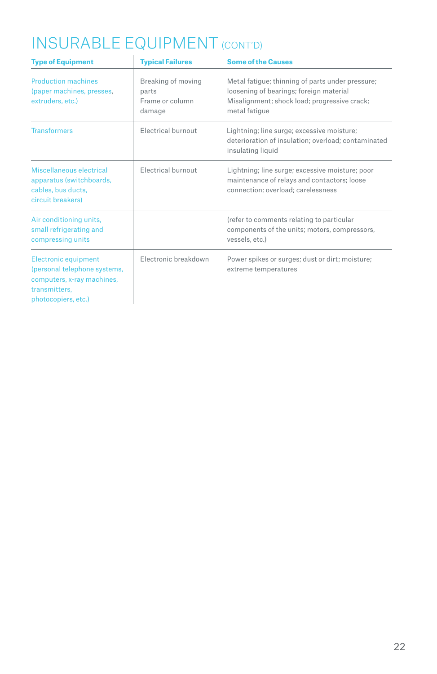# INSURABLE EQUIPMENT (CONT'D)

| <b>Type of Equipment</b>                                                                                                          | <b>Typical Failures</b>                                  | <b>Some of the Causes</b>                                                                                                                                    |
|-----------------------------------------------------------------------------------------------------------------------------------|----------------------------------------------------------|--------------------------------------------------------------------------------------------------------------------------------------------------------------|
| <b>Production machines</b><br>(paper machines, presses,<br>extruders, etc.)                                                       | Breaking of moving<br>parts<br>Frame or column<br>damage | Metal fatigue; thinning of parts under pressure;<br>loosening of bearings; foreign material<br>Misalignment; shock load; progressive crack;<br>metal fatique |
| <b>Transformers</b>                                                                                                               | <b>Electrical burnout</b>                                | Lightning; line surge; excessive moisture;<br>deterioration of insulation; overload; contaminated<br>insulating liquid                                       |
| Miscellaneous electrical<br>apparatus (switchboards,<br>cables, bus ducts,<br>circuit breakers)                                   | Electrical burnout                                       | Lightning; line surge; excessive moisture; poor<br>maintenance of relays and contactors; loose<br>connection; overload; carelessness                         |
| Air conditioning units,<br>small refrigerating and<br>compressing units                                                           |                                                          | (refer to comments relating to particular<br>components of the units; motors, compressors,<br>vessels, etc.)                                                 |
| <b>Electronic equipment</b><br>(personal telephone systems,<br>computers, x-ray machines,<br>transmitters.<br>photocopiers, etc.) | Electronic breakdown                                     | Power spikes or surges; dust or dirt; moisture;<br>extreme temperatures                                                                                      |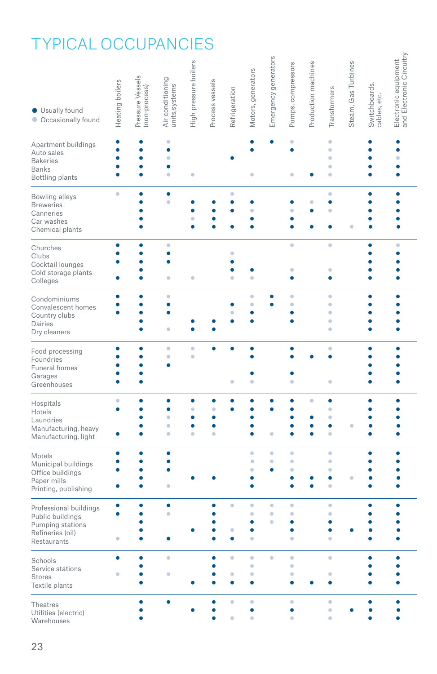# TYPICAL OCCUPANCIES

| <b>Usually found</b><br>Occasionally found                                                        | Heating boilers                  | Pressure Vessels<br>(non-process) | Air conditioning<br>units, systems | High pressure boilers | Process vessels  | Refrigeration  | Motors, generators | Emergency generators | Pumps, compressors | Production machines | Transformers                  | Steam, Gas Turbines | Switchboards,<br>cables, etc. | and Electronic Circuitry<br>Electronic equipment |
|---------------------------------------------------------------------------------------------------|----------------------------------|-----------------------------------|------------------------------------|-----------------------|------------------|----------------|--------------------|----------------------|--------------------|---------------------|-------------------------------|---------------------|-------------------------------|--------------------------------------------------|
| Apartment buildings<br>Auto sales<br><b>Bakeries</b><br><b>Banks</b><br><b>Bottling plants</b>    | ė<br>$\bullet$<br>$\bullet$<br>٠ | ۰<br>$\bullet$<br>$\bullet$<br>٠  | ۵<br>٠<br>ó<br>٠                   | ٠                     |                  |                | ٠                  |                      | ö<br>۸<br>٠        |                     | ö<br>ö<br>ö<br>ö<br>ö         |                     | ۰<br>۰<br>۰                   | ė<br>ö<br>ō<br>ō                                 |
| Bowling alleys<br><b>Breweries</b><br>Canneries<br>Car washes<br>Chemical plants                  | ö                                | ٠                                 | ٠<br>ö                             | ٠                     |                  | ۰<br>¢         | ö                  |                      |                    | ö                   | ö<br>ò<br>ö                   |                     | ٠                             | ۰<br>Ŏ                                           |
| Churches<br>Clubs<br>Cocktail lounges<br>Cold storage plants<br>Colleges                          |                                  | ۰<br>٠                            | ö<br>٠                             | ۰                     |                  | ۵              | ۵                  |                      | ٠<br>۵<br>e        |                     | ö<br>۰<br>٠                   |                     | ٠                             | ö                                                |
| Condominiums<br>Convalescent homes<br>Country clubs<br>Dairies<br>Dry cleaners                    | ٠<br>٠                           | $\bullet$<br>٠                    | ö<br>۰<br>٠                        |                       |                  |                | ö<br>ö<br>٠        |                      | ö<br>ö             |                     | ö<br>ö<br>۵<br>ö<br>$\bullet$ |                     |                               | ō                                                |
| Food processing<br>Foundries<br>Funeral homes<br>Garages<br>Greenhouses                           | ٠                                | ٠<br>۰<br>ō<br>٠                  | ö<br>٠                             | ö<br>$\bullet$        |                  | ۰              | ٠                  |                      |                    |                     | $\bullet$<br>٠                |                     |                               | ė                                                |
| Hospitals<br>Hotels<br>Laundries<br>Manufacturing, heavy<br>Manufacturing, light                  | $\bullet$<br>۰                   | ٠<br>۰<br>۰                       | ٠<br>ó<br>٠<br>ö                   | ۰<br>ö<br>۰<br>۰<br>ö | ö<br>٠<br>۰<br>ö | c              |                    | ö                    | e<br>¢             | ó                   | ٠<br>ö<br>ö<br>٠<br>ö         |                     | ō                             |                                                  |
| Motels<br>Municipal buildings<br>Office buildings<br>Paper mills<br>Printing, publishing          | ٠<br>Ō                           | ō                                 | ٠                                  |                       |                  |                | ö<br>٥             | ö<br>ö               | ŏ<br>ö<br>٠<br>Ċ   |                     | ö<br>ö<br>ö<br>ō<br>ö         |                     | ä                             | ō                                                |
| Professional buildings<br>Public buildings<br>Pumping stations<br>Refineries (oil)<br>Restaurants | ٠                                | ٠                                 | ٠                                  |                       | ٠                | ٠<br>٥<br>٠    | ö<br>۵<br>٠        | ö<br>٠<br>ó          | ö<br>ó<br>۵        |                     | $\bullet$<br>ö<br>۰<br>ō<br>ö |                     |                               |                                                  |
| Schools<br>Service stations<br><b>Stores</b><br>Textile plants                                    | ٠                                | ٠                                 | ö                                  |                       | ٠                | ۰<br>ó<br>٠    | ö<br>ö<br>٠<br>٠   | ۰                    | ۰<br>ŏ<br>ó<br>۸   |                     | ö<br>۵<br>۰                   |                     |                               |                                                  |
| <b>Theatres</b><br>Utilities (electric)<br>Warehouses                                             |                                  | ō                                 |                                    |                       | ۰                | ö<br>$\bullet$ | ö<br>۰<br>ö        |                      | ö                  |                     | $\bullet$<br>ö<br>ö           |                     |                               |                                                  |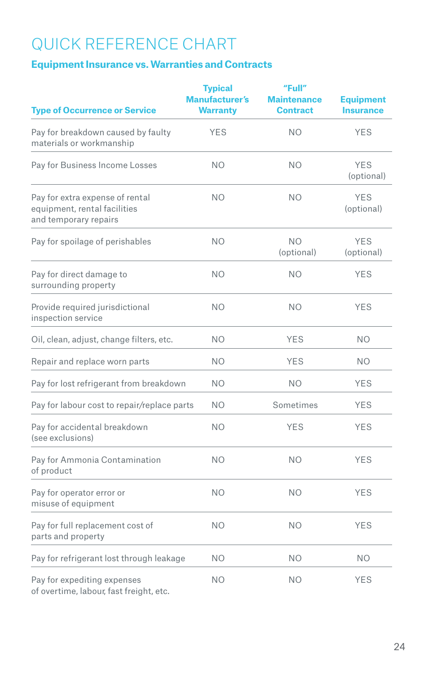## QUICK REFERENCE CHART

### **Equipment Insurance vs. Warranties and Contracts**

| <b>Type of Occurrence or Service</b>                                                     | <b>Typical</b><br><b>Manufacturer's</b><br><b>Warranty</b> | "Full"<br><b>Maintenance</b><br><b>Contract</b> | <b>Equipment</b><br><b>Insurance</b> |
|------------------------------------------------------------------------------------------|------------------------------------------------------------|-------------------------------------------------|--------------------------------------|
| Pay for breakdown caused by faulty<br>materials or workmanship                           | <b>YES</b>                                                 | <b>NO</b>                                       | <b>YES</b>                           |
| Pay for Business Income Losses                                                           | <b>NO</b>                                                  | <b>NO</b>                                       | <b>YES</b><br>(optional)             |
| Pay for extra expense of rental<br>equipment, rental facilities<br>and temporary repairs | N <sub>O</sub>                                             | NO.                                             | <b>YES</b><br>(optional)             |
| Pay for spoilage of perishables                                                          | <b>NO</b>                                                  | N <sub>O</sub><br>(optional)                    | <b>YES</b><br>(optional)             |
| Pay for direct damage to<br>surrounding property                                         | <b>NO</b>                                                  | <b>NO</b>                                       | <b>YES</b>                           |
| Provide required jurisdictional<br>inspection service                                    | N <sub>O</sub>                                             | N <sub>O</sub>                                  | <b>YES</b>                           |
| Oil, clean, adjust, change filters, etc.                                                 | <b>NO</b>                                                  | <b>YES</b>                                      | NO.                                  |
| Repair and replace worn parts                                                            | <b>NO</b>                                                  | <b>YES</b>                                      | NO.                                  |
| Pay for lost refrigerant from breakdown                                                  | <b>NO</b>                                                  | <b>NO</b>                                       | <b>YES</b>                           |
| Pay for labour cost to repair/replace parts                                              | <b>NO</b>                                                  | Sometimes                                       | <b>YES</b>                           |
| Pay for accidental breakdown<br>(see exclusions)                                         | NO.                                                        | <b>YES</b>                                      | <b>YES</b>                           |
| Pay for Ammonia Contamination<br>of product                                              | <b>NO</b>                                                  | <b>NO</b>                                       | <b>YES</b>                           |
| Pay for operator error or<br>misuse of equipment                                         | <b>NO</b>                                                  | <b>NO</b>                                       | <b>YES</b>                           |
| Pay for full replacement cost of<br>parts and property                                   | <b>NO</b>                                                  | <b>NO</b>                                       | <b>YES</b>                           |
| Pay for refrigerant lost through leakage                                                 | <b>NO</b>                                                  | <b>NO</b>                                       | NO.                                  |
| Pay for expediting expenses<br>of overtime, labour, fast freight, etc.                   | N <sub>O</sub>                                             | N <sub>O</sub>                                  | <b>YES</b>                           |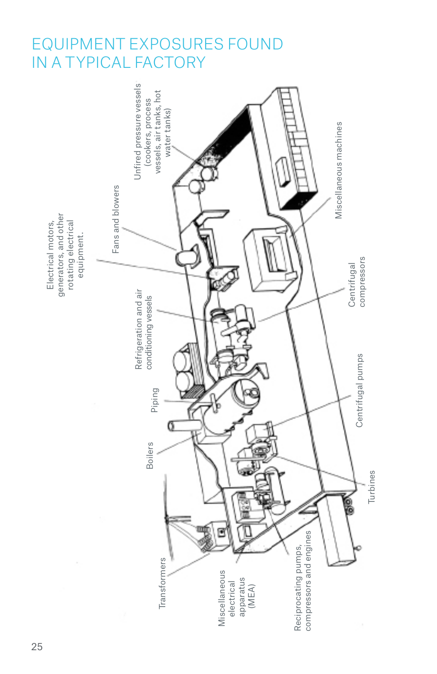### EQUIPMENT EXPOSURES FOUND IN A TYPICAL FACTORY

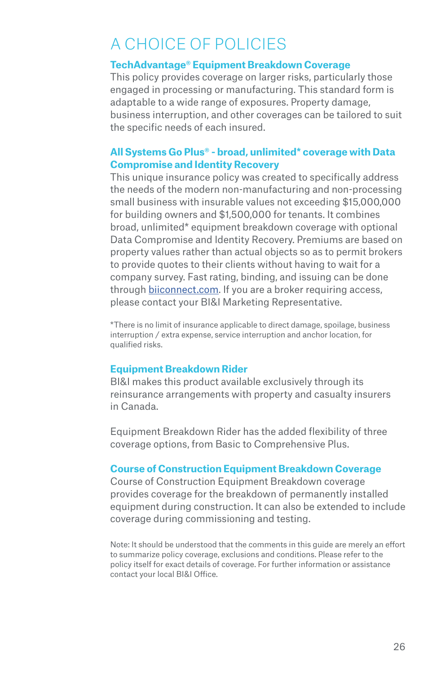## A CHOICE OF POLICIES

#### **TechAdvantage® Equipment Breakdown Coverage**

This policy provides coverage on larger risks, particularly those engaged in processing or manufacturing. This standard form is adaptable to a wide range of exposures. Property damage, business interruption, and other coverages can be tailored to suit the specific needs of each insured.

#### **All Systems Go Plus® - broad, unlimited\* coverage with Data Compromise and Identity Recovery**

This unique insurance policy was created to specifically address the needs of the modern non-manufacturing and non-processing small business with insurable values not exceeding \$15,000,000 for building owners and \$1,500,000 for tenants. It combines broad, unlimited\* equipment breakdown coverage with optional Data Compromise and Identity Recovery. Premiums are based on property values rather than actual objects so as to permit brokers to provide quotes to their clients without having to wait for a company survey. Fast rating, binding, and issuing can be done through biiconnect.com. If you are a broker requiring access, please contact your BI&I Marketing Representative.

\*There is no limit of insurance applicable to direct damage, spoilage, business interruption / extra expense, service interruption and anchor location, for qualified risks.

#### **Equipment Breakdown Rider**

BI&I makes this product available exclusively through its reinsurance arrangements with property and casualty insurers in Canada.

Equipment Breakdown Rider has the added flexibility of three coverage options, from Basic to Comprehensive Plus.

#### **Course of Construction Equipment Breakdown Coverage**

Course of Construction Equipment Breakdown coverage provides coverage for the breakdown of permanently installed equipment during construction. It can also be extended to include coverage during commissioning and testing.

Note: It should be understood that the comments in this guide are merely an effort to summarize policy coverage, exclusions and conditions. Please refer to the policy itself for exact details of coverage. For further information or assistance contact your local BI&I Office.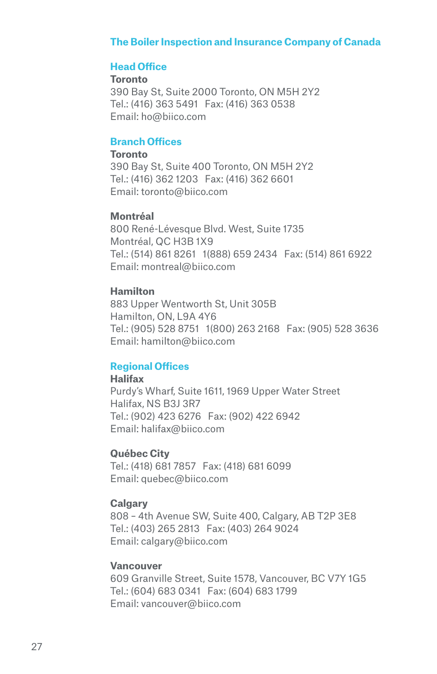#### **The Boiler Inspection and Insurance Company of Canada**

#### **Head Office**

**Toronto** 390 Bay St, Suite 2000 Toronto, ON M5H 2Y2 Tel.: (416) 363 5491 Fax: (416) 363 0538 Email: ho@biico.com

#### **Branch Offices**

#### **Toronto**

390 Bay St, Suite 400 Toronto, ON M5H 2Y2 Tel.: (416) 362 1203 Fax: (416) 362 6601 Email: toronto@biico.com

#### **Montréal**

800 René-Lévesque Blvd. West, Suite 1735 Montréal, QC H3B 1X9 Tel.: (514) 861 8261 1(888) 659 2434 Fax: (514) 861 6922 Email: montreal@biico.com

#### **Hamilton**

883 Upper Wentworth St, Unit 305B Hamilton, ON, L9A 4Y6 Tel.: (905) 528 8751 1(800) 263 2168 Fax: (905) 528 3636 Email: hamilton@biico.com

#### **Regional Offices**

### **Halifax**

Purdy's Wharf, Suite 1611, 1969 Upper Water Street Halifax, NS B3J 3R7 Tel.: (902) 423 6276 Fax: (902) 422 6942 Email: halifax@biico.com

#### **Québec City**

Tel.: (418) 681 7857 Fax: (418) 681 6099 Email: quebec@biico.com

#### **Calgary**

808 – 4th Avenue SW, Suite 400, Calgary, AB T2P 3E8 Tel.: (403) 265 2813 Fax: (403) 264 9024 Email: calgary@biico.com

#### **Vancouver**

609 Granville Street, Suite 1578, Vancouver, BC V7Y 1G5 Tel.: (604) 683 0341 Fax: (604) 683 1799 Email: vancouver@biico.com